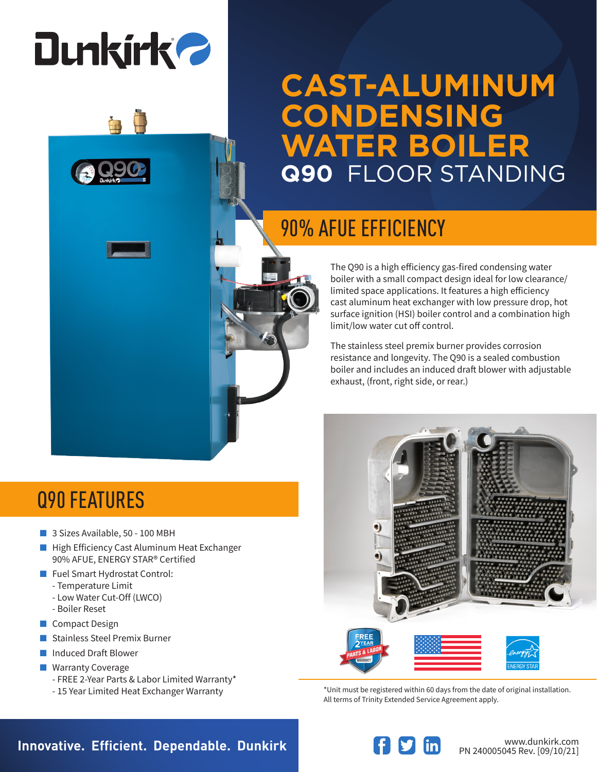# **Dunkirk 2**

## **CAST-ALUMINUM CONDENSING WATER BOILER Q90** FLOOR STANDING

## 90% AFUE EFFICIENCY

The Q90 is a high efficiency gas-fired condensing water boiler with a small compact design ideal for low clearance/ limited space applications. It features a high efficiency cast aluminum heat exchanger with low pressure drop, hot surface ignition (HSI) boiler control and a combination high limit/low water cut off control.

The stainless steel premix burner provides corrosion resistance and longevity. The Q90 is a sealed combustion boiler and includes an induced draft blower with adjustable exhaust, (front, right side, or rear.)

### Q90 FEATURES

- 3 Sizes Available, 50 100 MBH
- High Efficiency Cast Aluminum Heat Exchanger 90% AFUE, ENERGY STAR® Certified
- Fuel Smart Hydrostat Control:
	- Temperature Limit
	- Low Water Cut-Off (LWCO)
	- Boiler Reset
- Compact Design
- Stainless Steel Premix Burner
- Induced Draft Blower
- Warranty Coverage
	- FREE 2-Year Parts & Labor Limited Warranty\*
	- 15 Year Limited Heat Exchanger Warranty



\*Unit must be registered within 60 days from the date of original installation. All terms of Trinity Extended Service Agreement apply.

### **Innovative. Efficient. Dependable. Dunkirk and Southern Communistry of the Manufaultic Communistry Communistry**